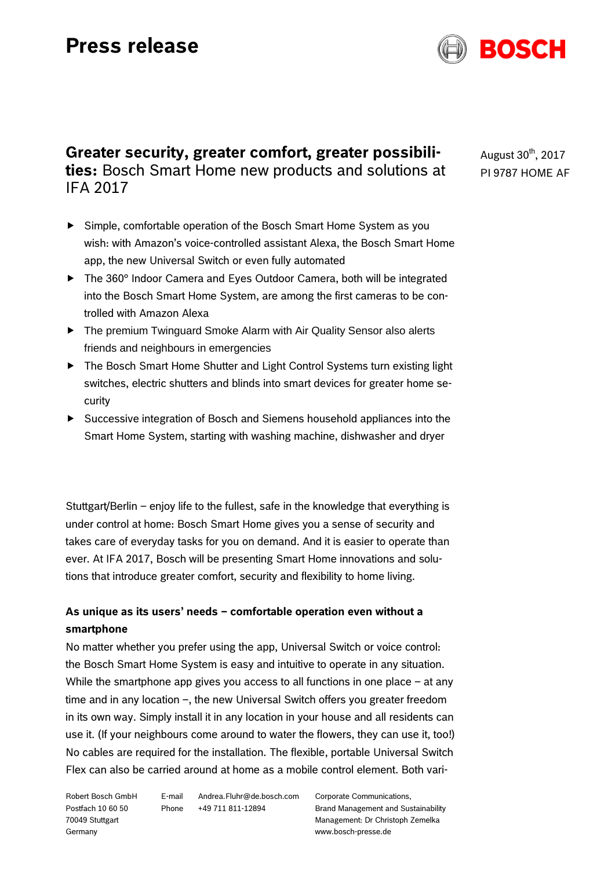# **Press release**



## **Greater security, greater comfort, greater possibilities:** Bosch Smart Home new products and solutions at IFA 2017

- Simple, comfortable operation of the Bosch Smart Home System as you wish: with Amazon's voice-controlled assistant Alexa, the Bosch Smart Home app, the new Universal Switch or even fully automated
- ▶ The 360° Indoor Camera and Eyes Outdoor Camera, both will be integrated into the Bosch Smart Home System, are among the first cameras to be controlled with Amazon Alexa
- ▶ The premium Twinguard Smoke Alarm with Air Quality Sensor also alerts friends and neighbours in emergencies
- ▶ The Bosch Smart Home Shutter and Light Control Systems turn existing light switches, electric shutters and blinds into smart devices for greater home security
- Successive integration of Bosch and Siemens household appliances into the Smart Home System, starting with washing machine, dishwasher and dryer

Stuttgart/Berlin – enjoy life to the fullest, safe in the knowledge that everything is under control at home: Bosch Smart Home gives you a sense of security and takes care of everyday tasks for you on demand. And it is easier to operate than ever. At IFA 2017, Bosch will be presenting Smart Home innovations and solutions that introduce greater comfort, security and flexibility to home living.

### **As unique as its users' needs – comfortable operation even without a smartphone**

No matter whether you prefer using the app, Universal Switch or voice control: the Bosch Smart Home System is easy and intuitive to operate in any situation. While the smartphone app gives you access to all functions in one place – at any time and in any location –, the new Universal Switch offers you greater freedom in its own way. Simply install it in any location in your house and all residents can use it. (If your neighbours come around to water the flowers, they can use it, too!) No cables are required for the installation. The flexible, portable Universal Switch Flex can also be carried around at home as a mobile control element. Both vari-

Robert Bosch GmbH Postfach 10 60 50 70049 Stuttgart Germany

E-mail Andrea.Fluhr@de.bosch.com Phone +49 711 811-12894

Corporate Communications, Brand Management and Sustainability Management: Dr Christoph Zemelka www.bosch-presse.de

August  $30<sup>th</sup>$ , 2017 PI 9787 HOME AF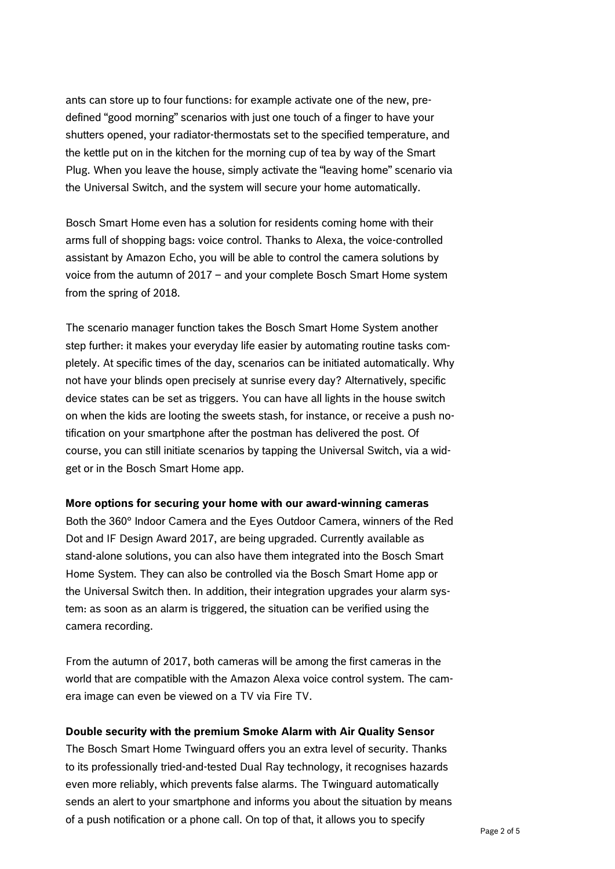ants can store up to four functions: for example activate one of the new, predefined "good morning" scenarios with just one touch of a finger to have your shutters opened, your radiator-thermostats set to the specified temperature, and the kettle put on in the kitchen for the morning cup of tea by way of the Smart Plug. When you leave the house, simply activate the "leaving home" scenario via the Universal Switch, and the system will secure your home automatically.

Bosch Smart Home even has a solution for residents coming home with their arms full of shopping bags: voice control. Thanks to Alexa, the voice-controlled assistant by Amazon Echo, you will be able to control the camera solutions by voice from the autumn of 2017 – and your complete Bosch Smart Home system from the spring of 2018.

The scenario manager function takes the Bosch Smart Home System another step further: it makes your everyday life easier by automating routine tasks completely. At specific times of the day, scenarios can be initiated automatically. Why not have your blinds open precisely at sunrise every day? Alternatively, specific device states can be set as triggers. You can have all lights in the house switch on when the kids are looting the sweets stash, for instance, or receive a push notification on your smartphone after the postman has delivered the post. Of course, you can still initiate scenarios by tapping the Universal Switch, via a widget or in the Bosch Smart Home app.

#### **More options for securing your home with our award-winning cameras**

Both the 360° Indoor Camera and the Eyes Outdoor Camera, winners of the Red Dot and IF Design Award 2017, are being upgraded. Currently available as stand-alone solutions, you can also have them integrated into the Bosch Smart Home System. They can also be controlled via the Bosch Smart Home app or the Universal Switch then. In addition, their integration upgrades your alarm system: as soon as an alarm is triggered, the situation can be verified using the camera recording.

From the autumn of 2017, both cameras will be among the first cameras in the world that are compatible with the Amazon Alexa voice control system. The camera image can even be viewed on a TV via Fire TV.

#### **Double security with the premium Smoke Alarm with Air Quality Sensor**

The Bosch Smart Home Twinguard offers you an extra level of security. Thanks to its professionally tried-and-tested Dual Ray technology, it recognises hazards even more reliably, which prevents false alarms. The Twinguard automatically sends an alert to your smartphone and informs you about the situation by means of a push notification or a phone call. On top of that, it allows you to specify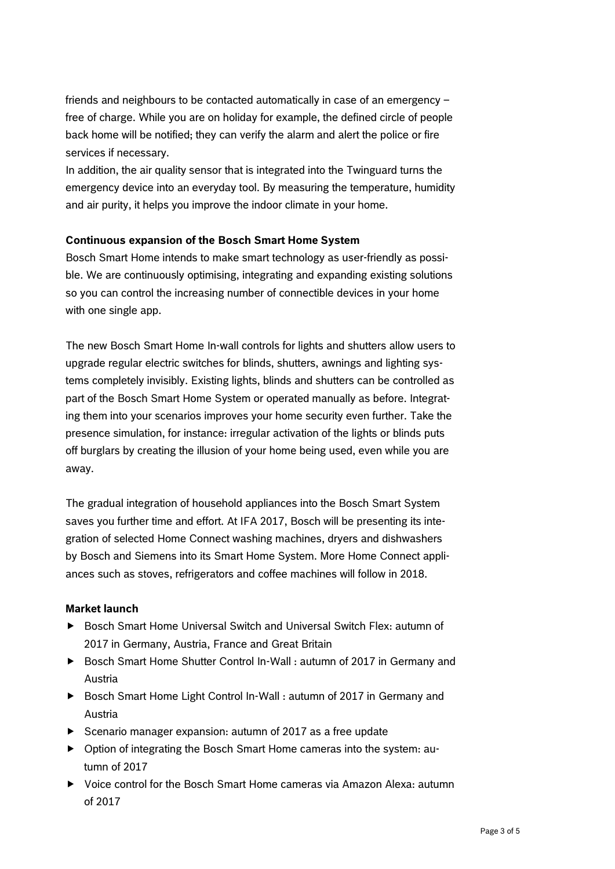friends and neighbours to be contacted automatically in case of an emergency – free of charge. While you are on holiday for example, the defined circle of people back home will be notified; they can verify the alarm and alert the police or fire services if necessary.

In addition, the air quality sensor that is integrated into the Twinguard turns the emergency device into an everyday tool. By measuring the temperature, humidity and air purity, it helps you improve the indoor climate in your home.

#### **Continuous expansion of the Bosch Smart Home System**

Bosch Smart Home intends to make smart technology as user-friendly as possible. We are continuously optimising, integrating and expanding existing solutions so you can control the increasing number of connectible devices in your home with one single app.

The new Bosch Smart Home In-wall controls for lights and shutters allow users to upgrade regular electric switches for blinds, shutters, awnings and lighting systems completely invisibly. Existing lights, blinds and shutters can be controlled as part of the Bosch Smart Home System or operated manually as before. Integrating them into your scenarios improves your home security even further. Take the presence simulation, for instance: irregular activation of the lights or blinds puts off burglars by creating the illusion of your home being used, even while you are away.

The gradual integration of household appliances into the Bosch Smart System saves you further time and effort. At IFA 2017, Bosch will be presenting its integration of selected Home Connect washing machines, dryers and dishwashers by Bosch and Siemens into its Smart Home System. More Home Connect appliances such as stoves, refrigerators and coffee machines will follow in 2018.

#### **Market launch**

- ▶ Bosch Smart Home Universal Switch and Universal Switch Flex: autumn of 2017 in Germany, Austria, France and Great Britain
- ► Bosch Smart Home Shutter Control In-Wall : autumn of 2017 in Germany and Austria
- ▶ Bosch Smart Home Light Control In-Wall : autumn of 2017 in Germany and Austria
- $\triangleright$  Scenario manager expansion: autumn of 2017 as a free update
- Option of integrating the Bosch Smart Home cameras into the system: autumn of 2017
- Voice control for the Bosch Smart Home cameras via Amazon Alexa: autumn of 2017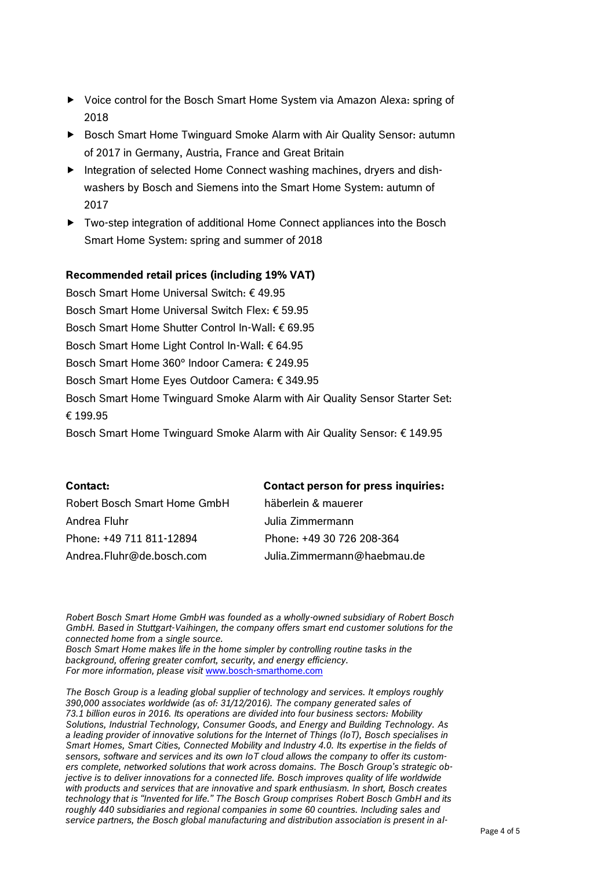- ▶ Voice control for the Bosch Smart Home System via Amazon Alexa: spring of 2018
- ▶ Bosch Smart Home Twinguard Smoke Alarm with Air Quality Sensor: autumn of 2017 in Germany, Austria, France and Great Britain
- Integration of selected Home Connect washing machines, dryers and dishwashers by Bosch and Siemens into the Smart Home System: autumn of 2017
- Two-step integration of additional Home Connect appliances into the Bosch Smart Home System: spring and summer of 2018

#### **Recommended retail prices (including 19% VAT)**

Bosch Smart Home Universal Switch: € 49.95 Bosch Smart Home Universal Switch Flex: € 59.95 Bosch Smart Home Shutter Control In-Wall: € 69.95 Bosch Smart Home Light Control In-Wall: € 64.95 Bosch Smart Home 360° Indoor Camera: € 249.95 Bosch Smart Home Eyes Outdoor Camera: € 349.95 Bosch Smart Home Twinguard Smoke Alarm with Air Quality Sensor Starter Set: € 199.95 Bosch Smart Home Twinguard Smoke Alarm with Air Quality Sensor: € 149.95

| <b>Contact:</b>              | <b>Contact person for press inquiries:</b> |
|------------------------------|--------------------------------------------|
| Robert Bosch Smart Home GmbH | häberlein & mauerer                        |
| Andrea Fluhr                 | Julia Zimmermann                           |
| Phone: +49 711 811-12894     | Phone: +49 30 726 208-364                  |
| Andrea.Fluhr@de.bosch.com    | Julia. Zimmermann@haebmau.de               |

*Robert Bosch Smart Home GmbH was founded as a wholly-owned subsidiary of Robert Bosch GmbH. Based in Stuttgart-Vaihingen, the company offers smart end customer solutions for the connected home from a single source.*

*Bosch Smart Home makes life in the home simpler by controlling routine tasks in the background, offering greater comfort, security, and energy efficiency. For more information, please visit* [www.bosch-smarthome.com](http://www.bosch-smarthome.com/)

*The Bosch Group is a leading global supplier of technology and services. It employs roughly 390,000 associates worldwide (as of: 31/12/2016). The company generated sales of 73.1 billion euros in 2016. Its operations are divided into four business sectors: Mobility Solutions, Industrial Technology, Consumer Goods, and Energy and Building Technology. As a leading provider of innovative solutions for the Internet of Things (IoT), Bosch specialises in Smart Homes, Smart Cities, Connected Mobility and Industry 4.0. Its expertise in the fields of sensors, software and services and its own IoT cloud allows the company to offer its customers complete, networked solutions that work across domains. The Bosch Group's strategic objective is to deliver innovations for a connected life. Bosch improves quality of life worldwide with products and services that are innovative and spark enthusiasm. In short, Bosch creates technology that is "Invented for life." The Bosch Group comprises Robert Bosch GmbH and its roughly 440 subsidiaries and regional companies in some 60 countries. Including sales and service partners, the Bosch global manufacturing and distribution association is present in al-*